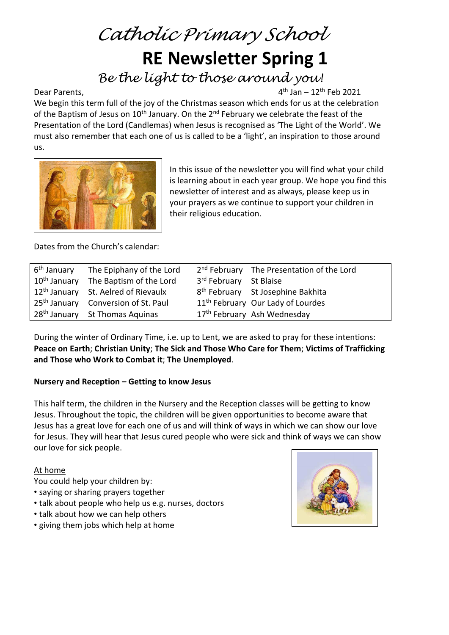# *Catholic Primary School* **RE Newsletter Spring 1**

*Be the light to those around you!*

Dear Parents,

 $4<sup>th</sup>$  Jan – 12<sup>th</sup> Feb 2021

We begin this term full of the joy of the Christmas season which ends for us at the celebration of the Baptism of Jesus on  $10<sup>th</sup>$  January. On the 2<sup>nd</sup> February we celebrate the feast of the Presentation of the Lord (Candlemas) when Jesus is recognised as 'The Light of the World'. We must also remember that each one of us is called to be a 'light', an inspiration to those around us.



In this issue of the newsletter you will find what your child is learning about in each year group. We hope you find this newsletter of interest and as always, please keep us in your prayers as we continue to support your children in their religious education.

Dates from the Church's calendar:

| 6 <sup>th</sup> January | The Epiphany of the Lord                         |                        | 2 <sup>nd</sup> February The Presentation of the Lord |
|-------------------------|--------------------------------------------------|------------------------|-------------------------------------------------------|
|                         | 10 <sup>th</sup> January The Baptism of the Lord | 3rd February St Blaise |                                                       |
|                         | 12 <sup>th</sup> January St. Aelred of Rievaulx  |                        | 8 <sup>th</sup> February St Josephine Bakhita         |
|                         | 25 <sup>th</sup> January Conversion of St. Paul  |                        | 11 <sup>th</sup> February Our Lady of Lourdes         |
|                         | 28 <sup>th</sup> January St Thomas Aquinas       |                        | 17 <sup>th</sup> February Ash Wednesday               |

During the winter of Ordinary Time, i.e. up to Lent, we are asked to pray for these intentions: **Peace on Earth**; **Christian Unity**; **The Sick and Those Who Care for Them**; **Victims of Trafficking and Those who Work to Combat it**; **The Unemployed**.

# **Nursery and Reception – Getting to know Jesus**

This half term, the children in the Nursery and the Reception classes will be getting to know Jesus. Throughout the topic, the children will be given opportunities to become aware that Jesus has a great love for each one of us and will think of ways in which we can show our love for Jesus. They will hear that Jesus cured people who were sick and think of ways we can show our love for sick people.

#### At home

You could help your children by:

- saying or sharing prayers together
- talk about people who help us e.g. nurses, doctors
- talk about how we can help others
- giving them jobs which help at home

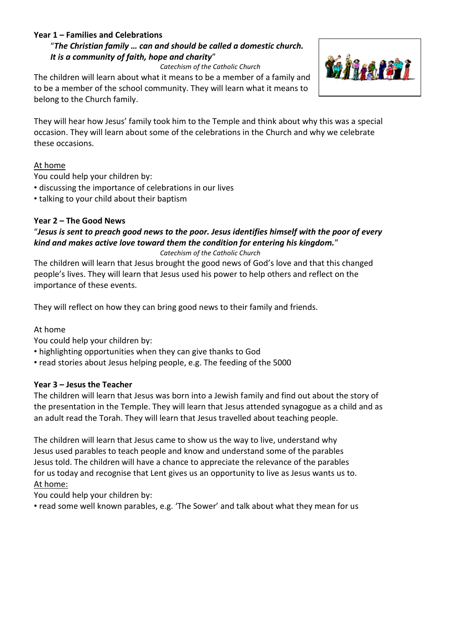#### **Year 1 – Families and Celebrations**

#### "*The Christian family … can and should be called a domestic church. It is a community of faith, hope and charity*"

*Catechism of the Catholic Church*

The children will learn about what it means to be a member of a family and to be a member of the school community. They will learn what it means to belong to the Church family.



They will hear how Jesus' family took him to the Temple and think about why this was a special occasion. They will learn about some of the celebrations in the Church and why we celebrate these occasions.

#### At home

You could help your children by:

- discussing the importance of celebrations in our lives
- talking to your child about their baptism

#### **Year 2 – The Good News**

# "*Jesus is sent to preach good news to the poor. Jesus identifies himself with the poor of every kind and makes active love toward them the condition for entering his kingdom.*"

*Catechism of the Catholic Church*

The children will learn that Jesus brought the good news of God's love and that this changed people's lives. They will learn that Jesus used his power to help others and reflect on the importance of these events.

They will reflect on how they can bring good news to their family and friends.

#### At home

You could help your children by:

- highlighting opportunities when they can give thanks to God
- read stories about Jesus helping people, e.g. The feeding of the 5000

#### **Year 3 – Jesus the Teacher**

The children will learn that Jesus was born into a Jewish family and find out about the story of the presentation in the Temple. They will learn that Jesus attended synagogue as a child and as an adult read the Torah. They will learn that Jesus travelled about teaching people.

The children will learn that Jesus came to show us the way to live, understand why Jesus used parables to teach people and know and understand some of the parables Jesus told. The children will have a chance to appreciate the relevance of the parables for us today and recognise that Lent gives us an opportunity to live as Jesus wants us to. At home:

You could help your children by:

• read some well known parables, e.g. 'The Sower' and talk about what they mean for us